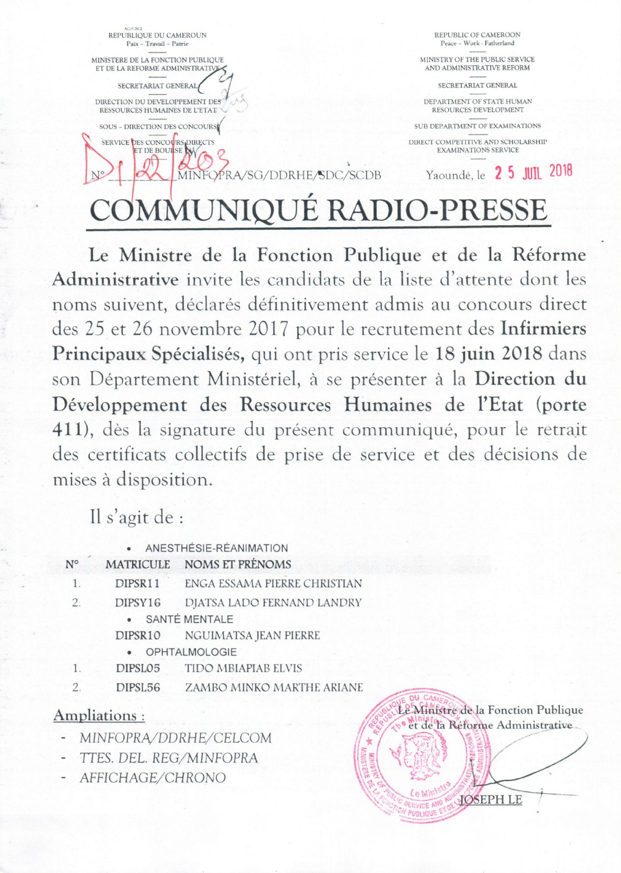AO/CBOI<br>REPUBLIQUE DU CAMEROUN Paix - Travail - Patrie REPUBLIC OF CAMEROON Peace - Work . Fatherland MINISTERE DE LA FONCTION PUBLIOUE ET DE LA REFORME ADMINISTRATIVE SECRETARIAT GENERAL DIRECTION DU DEVELOPPEMENT DES" RESSOURCES HUMAINES DE L'ETAT SOUS - DIRECTION DES CONCOURS ERVICE DES CONCOURS DIRECTS MINISTRY OF THE PUBLIC SERVICE AND ADMINISTRATIVE REFORM SECRETARIAT GENERAL DEPARTMENT OF STATE HUMAN RESOURCES DEVELOPMENT SUB DEPARTMENT OF EXAMINATIONS DIRECT COMPETITIVE AND SCHOLARSHIP EXAMINATIONS SERVICE Yaoundé, le **2 5 JUIL 2018 DMMUNIQUÉ RADIO-PRESSE** 

Le Ministre de la Fonction Publique et de la Réforme Administrative invite les candidats de la liste d'attente dont les noms suivent, déclarés définitivement admis au concours direct des 25 et 26 novembre 2017 pour le recrutement des Infirmiers Principaux Spécialisés, qui ont pris service le 18 juin 2018 dans son Département Ministériel, à se présenter à la Direction du Développement des Ressources Humaines de l'Etat (porte 411), dès la signature du présent communiqué, pour le retrait des certificats collectifs de prise de service et des décisions de mises à disposition.

 $e$ t de la Réforme Administrative

 $\mathbb{I}^*$  . For  $\mathbb{I}$  iii  $\mathbb{I}$ 1 ~ !'!! <sup>l</sup>"t-t *r);:'/:') : ~ ~ /* 

.• ~;: *J*-:*'"* - *:'\_'/ ,1* 

Le Ministre **10SEPH LE EXAMPLE AN AN AN AN AN AN AN EXAMPLE PLAN AND ADDREPTY** W PUBLIQUE ET

 $\parallel$   $\parallel$   $\parallel$   $\parallel$   $\parallel$   $\parallel$   $\parallel$   $\parallel$  $\cdot$   $\cdot$ 

 $39.9 - 10$  ...

Il s'agit de :

|               | $\bullet$     | ANESTHÉSIE-RÉANIMATION       |                                     |
|---------------|---------------|------------------------------|-------------------------------------|
| $N^{\circ}$   |               | MATRICULE NOMS ET PRÉNOMS    |                                     |
|               | DIPSR11       | ENGA ESSAMA PIERRE CHRISTIAN |                                     |
| 2.            | DIPSY16       | DJATSA LADO FERNAND LANDRY   |                                     |
|               |               | SANTÉ MENTALE                |                                     |
|               | DIPSR10       | NGUIMATSA JEAN PIERRE        |                                     |
|               |               | · OPHTALMOLOGIE              |                                     |
|               | DIPSL05       | TIDO MBIAPIAB ELVIS          |                                     |
| $\mathcal{L}$ | DIPSL56       | ZAMBO MINKO MARTHE ARIANE    |                                     |
|               | Ampliations · |                              | Le Ministre de la Fonction Publique |

## Ampliations:

- MINFOPRA/DDRHE/CELCOM
- TIES. DEL *REG/MINFOPRA*
- *AFFICHAGE/CHRONO*